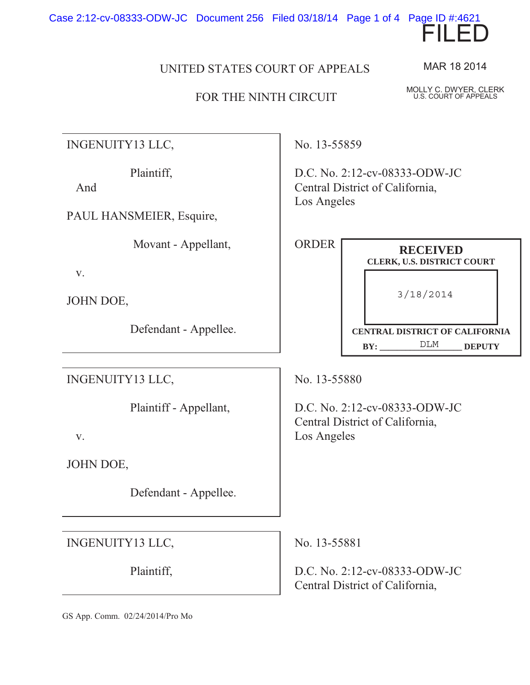Case 2:12-cv-08333-ODW-JC Document 256 Filed 03/18/14 Page 1 of 4 Page ID #:4621



## FOR THE NINTH CIRCUIT

INGENUITY13 LLC,

Plaintiff,

And

PAUL HANSMEIER, Esquire,

Movant - Appellant,

v.

JOHN DOE,

Defendant - Appellee.

INGENUITY13 LLC,

Plaintiff - Appellant,

v.

JOHN DOE,

Defendant - Appellee.

INGENUITY13 LLC,

Plaintiff,

No. 13-55859

D.C. No. 2:12-cv-08333-ODW-JC Central District of California, Los Angeles

| <b>ORDER</b> | <b>RECEIVED</b><br><b>CLERK, U.S. DISTRICT COURT</b>                         |
|--------------|------------------------------------------------------------------------------|
|              | 3/18/2014                                                                    |
|              | <b>CENTRAL DISTRICT OF CALIFORNIA</b><br>DT.M<br><b>BY:</b><br><b>DEPUTY</b> |

No. 13-55880

D.C. No. 2:12-cv-08333-ODW-JC Central District of California, Los Angeles

No. 13-55881

D.C. No. 2:12-cv-08333-ODW-JC Central District of California,

GS App. Comm. 02/24/2014/Pro Mo

MAR 18 2014

MOLLY C. DWYER, CLERK U.S. COURT OF APPEALS

FILED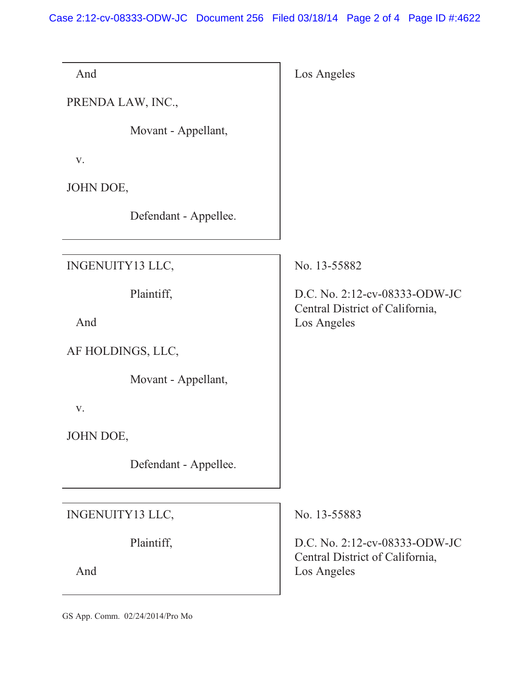Case 2:12-cv-08333-ODW-JC Document 256 Filed 03/18/14 Page 2 of 4 Page ID #:4622

| Los Angeles                                                      |
|------------------------------------------------------------------|
|                                                                  |
|                                                                  |
|                                                                  |
|                                                                  |
|                                                                  |
| No. 13-55882                                                     |
| D.C. No. 2:12-cv-08333-ODW-JC<br>Central District of California, |
| Los Angeles                                                      |
|                                                                  |
|                                                                  |
|                                                                  |
|                                                                  |
|                                                                  |
| No. 13-55883                                                     |
| D.C. No. 2:12-cv-08333-ODW-JC<br>Central District of California, |
|                                                                  |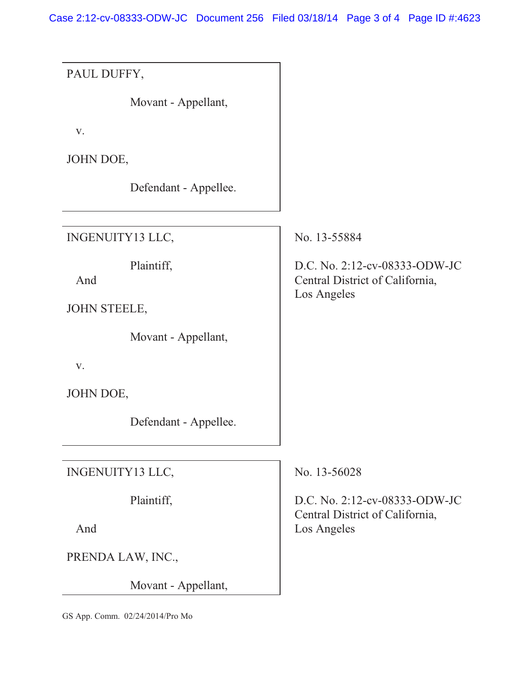Case 2:12-cv-08333-ODW-JC Document 256 Filed 03/18/14 Page 3 of 4 Page ID #:4623

PAUL DUFFY, Movant - Appellant, v. JOHN DOE, Defendant - Appellee. INGENUITY13 LLC, Plaintiff, And JOHN STEELE, Movant - Appellant, v. JOHN DOE, Defendant - Appellee. No. 13-55884 D.C. No. 2:12-cv-08333-ODW-JC Central District of California, Los Angeles INGENUITY13 LLC, Plaintiff, And PRENDA LAW, INC., Movant - Appellant, No. 13-56028 D.C. No. 2:12-cv-08333-ODW-JC Central District of California, Los Angeles

GS App. Comm. 02/24/2014/Pro Mo